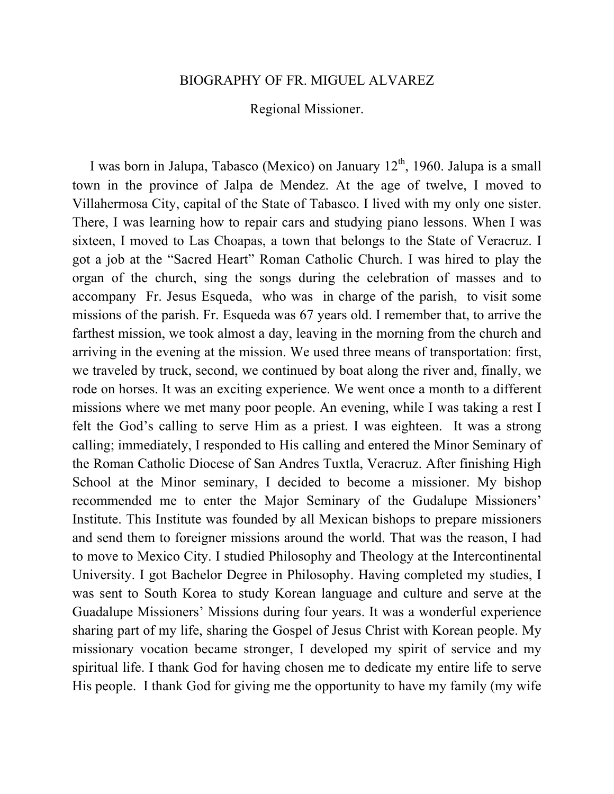## BIOGRAPHY OF FR. MIGUEL ALVAREZ

## Regional Missioner.

I was born in Jalupa, Tabasco (Mexico) on January  $12<sup>th</sup>$ , 1960. Jalupa is a small town in the province of Jalpa de Mendez. At the age of twelve, I moved to Villahermosa City, capital of the State of Tabasco. I lived with my only one sister. There, I was learning how to repair cars and studying piano lessons. When I was sixteen, I moved to Las Choapas, a town that belongs to the State of Veracruz. I got a job at the "Sacred Heart" Roman Catholic Church. I was hired to play the organ of the church, sing the songs during the celebration of masses and to accompany Fr. Jesus Esqueda, who was in charge of the parish, to visit some missions of the parish. Fr. Esqueda was 67 years old. I remember that, to arrive the farthest mission, we took almost a day, leaving in the morning from the church and arriving in the evening at the mission. We used three means of transportation: first, we traveled by truck, second, we continued by boat along the river and, finally, we rode on horses. It was an exciting experience. We went once a month to a different missions where we met many poor people. An evening, while I was taking a rest I felt the God's calling to serve Him as a priest. I was eighteen. It was a strong calling; immediately, I responded to His calling and entered the Minor Seminary of the Roman Catholic Diocese of San Andres Tuxtla, Veracruz. After finishing High School at the Minor seminary, I decided to become a missioner. My bishop recommended me to enter the Major Seminary of the Gudalupe Missioners' Institute. This Institute was founded by all Mexican bishops to prepare missioners and send them to foreigner missions around the world. That was the reason, I had to move to Mexico City. I studied Philosophy and Theology at the Intercontinental University. I got Bachelor Degree in Philosophy. Having completed my studies, I was sent to South Korea to study Korean language and culture and serve at the Guadalupe Missioners' Missions during four years. It was a wonderful experience sharing part of my life, sharing the Gospel of Jesus Christ with Korean people. My missionary vocation became stronger, I developed my spirit of service and my spiritual life. I thank God for having chosen me to dedicate my entire life to serve His people. I thank God for giving me the opportunity to have my family (my wife